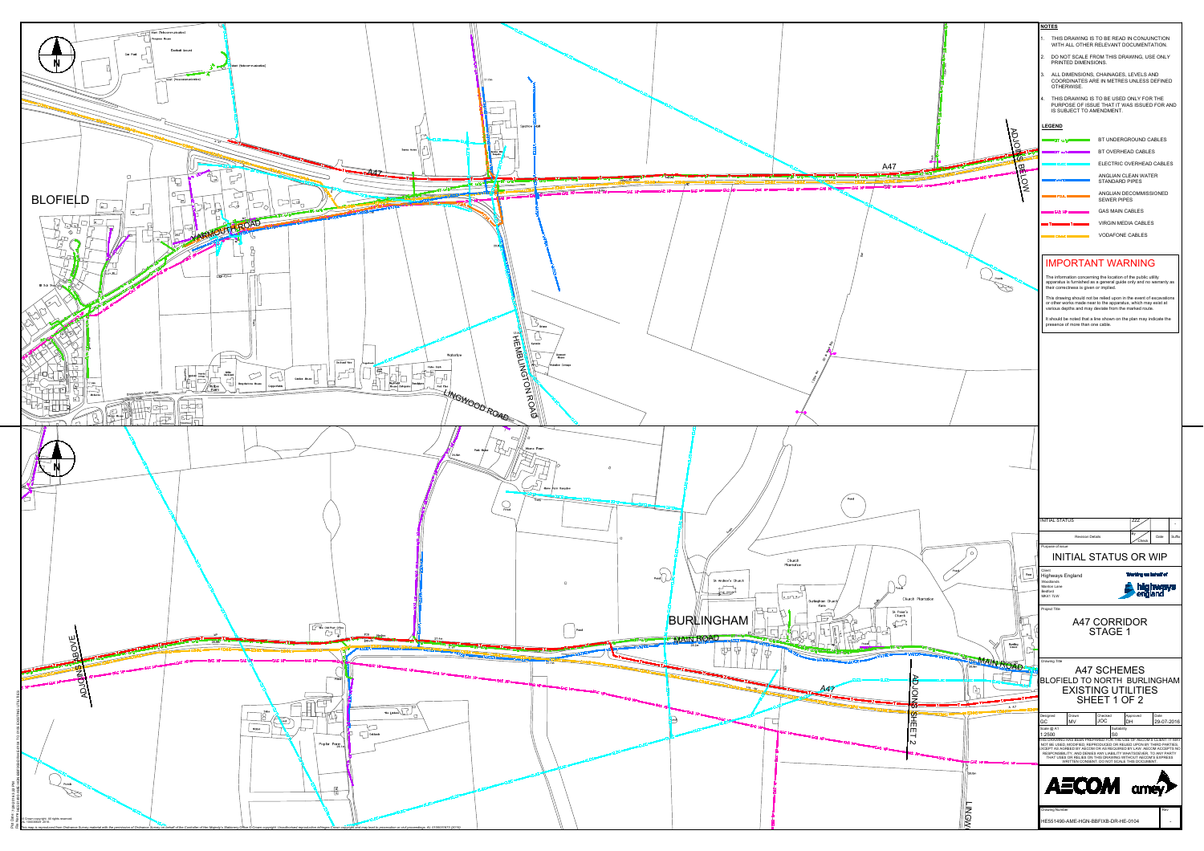

|                                     | <b>NOTES</b><br>1. THIS DRAWING IS TO BE READ IN CONJUNCTION                                                                                                                                                                                                                |
|-------------------------------------|-----------------------------------------------------------------------------------------------------------------------------------------------------------------------------------------------------------------------------------------------------------------------------|
|                                     | WITH ALL OTHER RELEVANT DOCUMENTATION.<br>2. DO NOT SCALE FROM THIS DRAWING, USE ONLY<br>PRINTED DIMENSIONS.                                                                                                                                                                |
|                                     | 3. ALL DIMENSIONS, CHAINAGES, LEVELS AND<br>COORDINATES ARE IN METRES UNLESS DEFINED                                                                                                                                                                                        |
|                                     | OTHERWISE.<br>4. THIS DRAWING IS TO BE USED ONLY FOR THE<br>PURPOSE OF ISSUE THAT IT WAS ISSUED FOR AND<br>IS SUBJECT TO AMENDMENT.                                                                                                                                         |
|                                     | <b>LEGEND</b>                                                                                                                                                                                                                                                               |
| <b>ADJO</b>                         | BT UNDERGROUND CABLES<br>BT OVERHEAD CABLES                                                                                                                                                                                                                                 |
| A47<br>ω                            | ELECTRIC OVERHEAD CABLES                                                                                                                                                                                                                                                    |
| M<br>NOT<br>19,2                    | ANGLIAN CLEAN WATER<br><b>STANDARD PIPES</b>                                                                                                                                                                                                                                |
|                                     | ANGLIAN DECOMMISSIONED<br><b>SEWER PIPES</b>                                                                                                                                                                                                                                |
|                                     | <b>GAS MAIN CABLES</b><br><b>VIRGIN MEDIA CABLES</b>                                                                                                                                                                                                                        |
|                                     | <b>VODAFONE CABLES</b>                                                                                                                                                                                                                                                      |
|                                     |                                                                                                                                                                                                                                                                             |
| Ponds                               | <b>IMPORTANT WARNING</b><br>The information concerning the location of the public utility                                                                                                                                                                                   |
|                                     | apparatus is furnished as a general guide only and no warranty as<br>their correctness is given or implied.<br>This drawing should not be relied upon in the event of excavations                                                                                           |
|                                     | or other works made near to the apparatus, which may exist at<br>various depths and may deviate from the marked route.                                                                                                                                                      |
|                                     | It should be noted that a line shown on the plan may indicate the<br>presence of more than one cable.                                                                                                                                                                       |
|                                     |                                                                                                                                                                                                                                                                             |
|                                     |                                                                                                                                                                                                                                                                             |
|                                     |                                                                                                                                                                                                                                                                             |
|                                     |                                                                                                                                                                                                                                                                             |
|                                     |                                                                                                                                                                                                                                                                             |
|                                     |                                                                                                                                                                                                                                                                             |
|                                     |                                                                                                                                                                                                                                                                             |
|                                     |                                                                                                                                                                                                                                                                             |
|                                     |                                                                                                                                                                                                                                                                             |
|                                     |                                                                                                                                                                                                                                                                             |
|                                     | <b>INITIAL STATUS</b><br><b>ZZZ</b><br>By<br><b>Revision Details</b><br>Date<br>Suffix                                                                                                                                                                                      |
| $\circ$                             | Check<br>Purpose of issue<br><b>INITIAL STATUS OR WIP</b>                                                                                                                                                                                                                   |
| Pond<br>Resr                        | Client<br>Working on behalf of                                                                                                                                                                                                                                              |
|                                     | Highways England<br>Woodlands<br>highways<br>england<br><b>Manton Lane</b><br>Bedford                                                                                                                                                                                       |
| Church Plantation<br>St Peter's     | <b>MK41 7LW</b><br>Project Title                                                                                                                                                                                                                                            |
| Church<br>$\sqrt{2}$                | <b>A47 CORRIDOR</b>                                                                                                                                                                                                                                                         |
| $\overline{29}$<br>Bowling<br>Green | <b>STAGE 1</b>                                                                                                                                                                                                                                                              |
| $-$<br>WAIN ROAD                    | Drawing Title                                                                                                                                                                                                                                                               |
| ADJC                                | <b>A47 SCHEMES</b><br>BLOFIELD TO NORTH BURLINGHAM                                                                                                                                                                                                                          |
| ҇╻                                  | <b>EXISTING UTILITIES</b><br>SHEET 1 OF 2                                                                                                                                                                                                                                   |
| $\mathbf{G}$<br>A 47                | Date<br>Drawn<br>Checked<br>Designed<br>Approved<br><b>JOC</b><br>GC<br><b>MV</b><br><b>DH</b><br>29-07-2016                                                                                                                                                                |
| 5<br>中日日                            | Scale @ A1<br>Suitability<br>S0<br>1:2500<br>THIS DRAWING HAS BEEN PREPARED FOR THE USE OF AECOM'S CLIENT. IT MAY                                                                                                                                                           |
| $\mathbf w$                         | NOT BE USED, MODIFIED, REPRODUCED OR RELIED UPON BY THIRD PARTIES,<br>EXCEPT AS AGREED BY AECOM OR AS REQUIRED BY LAW. AECOM ACCEPTS NO<br>RESPONSIBILITY, AND DENIES ANY LIABILITY WHATSOEVER, TO ANY PARTY<br>THAT USES OR RELIES ON THIS DRAWING WITHOUT AECOM'S EXPRESS |
| 26.0m                               | WRITTEN CONSENT. DO NOT SCALE THIS DOCUMENT.                                                                                                                                                                                                                                |
|                                     | <b>AECOM</b> amey                                                                                                                                                                                                                                                           |
|                                     | Rev<br><b>Drawing Number</b>                                                                                                                                                                                                                                                |
| <b>LINGW</b>                        | HE551490-AME-HGN-BBFIXB-DR-HE-0104                                                                                                                                                                                                                                          |
|                                     |                                                                                                                                                                                                                                                                             |
|                                     |                                                                                                                                                                                                                                                                             |